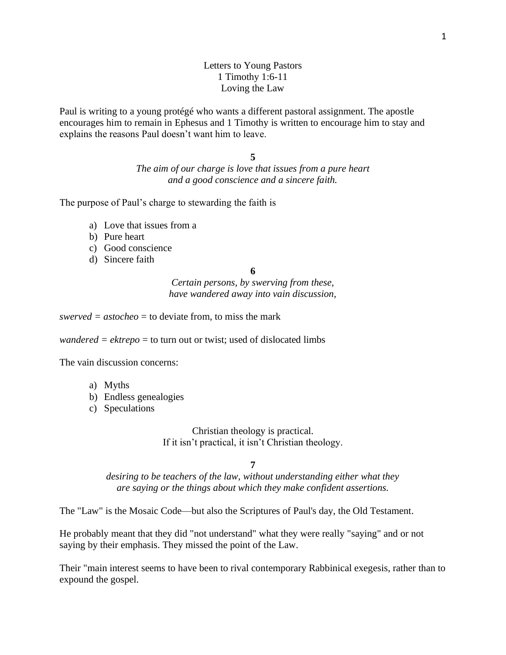## Letters to Young Pastors 1 Timothy 1:6-11 Loving the Law

Paul is writing to a young protégé who wants a different pastoral assignment. The apostle encourages him to remain in Ephesus and 1 Timothy is written to encourage him to stay and explains the reasons Paul doesn't want him to leave.

**5**

*The aim of our charge is love that issues from a pure heart and a good conscience and a sincere faith.*

The purpose of Paul's charge to stewarding the faith is

- a) Love that issues from a
- b) Pure heart
- c) Good conscience
- d) Sincere faith

**6** 

*Certain persons, by swerving from these, have wandered away into vain discussion,*

*swerved* =  $astocheo = to deviate from, to miss the mark$ 

*wandered = ektrepo* = to turn out or twist; used of dislocated limbs

The vain discussion concerns:

- a) Myths
- b) Endless genealogies
- c) Speculations

Christian theology is practical. If it isn't practical, it isn't Christian theology.

**7** 

*desiring to be teachers of the law, without understanding either what they are saying or the things about which they make confident assertions.*

The "Law" is the Mosaic Code—but also the Scriptures of Paul's day, the Old Testament.

He probably meant that they did "not understand" what they were really "saying" and or not saying by their emphasis. They missed the point of the Law.

Their "main interest seems to have been to rival contemporary Rabbinical exegesis, rather than to expound the gospel.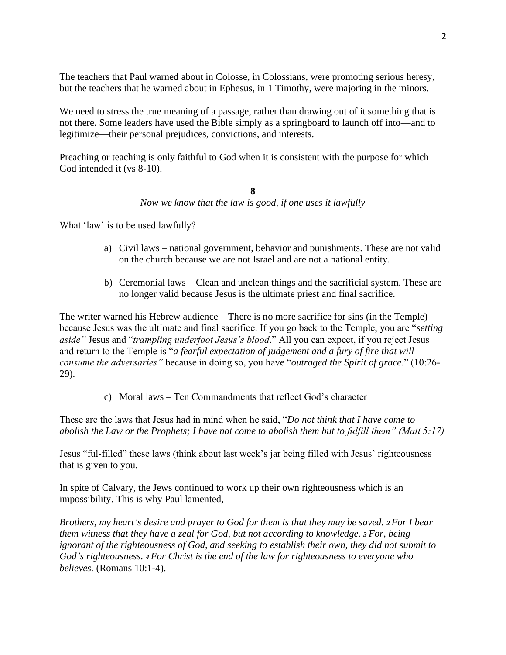The teachers that Paul warned about in Colosse, in Colossians, were promoting serious heresy, but the teachers that he warned about in Ephesus, in 1 Timothy, were majoring in the minors.

We need to stress the true meaning of a passage, rather than drawing out of it something that is not there. Some leaders have used the Bible simply as a springboard to launch off into—and to legitimize—their personal prejudices, convictions, and interests.

Preaching or teaching is only faithful to God when it is consistent with the purpose for which God intended it (vs 8-10).

> **8** *Now we know that the law is good, if one uses it lawfully*

What 'law' is to be used lawfully?

- a) Civil laws national government, behavior and punishments. These are not valid on the church because we are not Israel and are not a national entity.
- b) Ceremonial laws Clean and unclean things and the sacrificial system. These are no longer valid because Jesus is the ultimate priest and final sacrifice.

The writer warned his Hebrew audience – There is no more sacrifice for sins (in the Temple) because Jesus was the ultimate and final sacrifice. If you go back to the Temple, you are "*setting aside"* Jesus and "*trampling underfoot Jesus's blood*." All you can expect, if you reject Jesus and return to the Temple is "*a fearful expectation of judgement and a fury of fire that will consume the adversaries"* because in doing so, you have "*outraged the Spirit of grace*." (10:26- 29).

c) Moral laws – Ten Commandments that reflect God's character

These are the laws that Jesus had in mind when he said, "*Do not think that I have come to abolish the Law or the Prophets; I have not come to abolish them but to fulfill them" (Matt 5:17)*

Jesus "ful-filled" these laws (think about last week's jar being filled with Jesus' righteousness that is given to you.

In spite of Calvary, the Jews continued to work up their own righteousness which is an impossibility. This is why Paul lamented,

*Brothers, my heart's desire and prayer to God for them is that they may be saved. <sup>2</sup> For I bear them witness that they have a zeal for God, but not according to knowledge. <sup>3</sup> For, being ignorant of the righteousness of God, and seeking to establish their own, they did not submit to God's righteousness. <sup>4</sup> For Christ is the end of the law for righteousness to everyone who believes.* (Romans 10:1-4).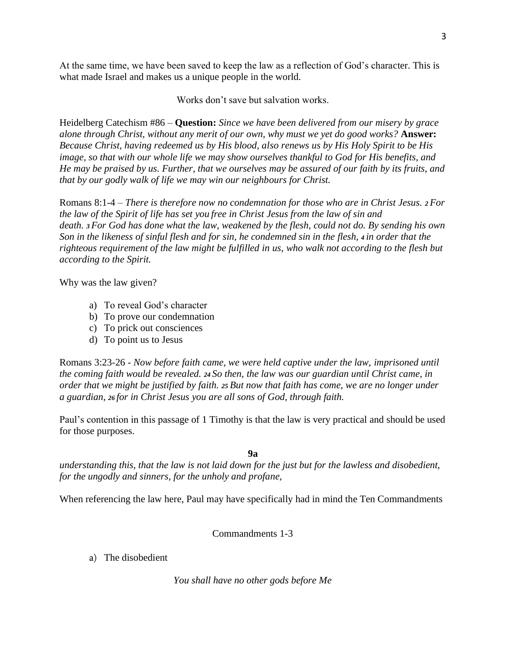At the same time, we have been saved to keep the law as a reflection of God's character. This is what made Israel and makes us a unique people in the world.

Works don't save but salvation works.

Heidelberg Catechism #86 – **Question:** *Since we have been delivered from our misery by grace alone through Christ, without any merit of our own, why must we yet do good works?* **Answer:** *Because Christ, having redeemed us by His blood, also renews us by His Holy Spirit to be His image, so that with our whole life we may show ourselves thankful to God for His benefits, and He may be praised by us. Further, that we ourselves may be assured of our faith by its fruits, and that by our godly walk of life we may win our neighbours for Christ.*

Romans 8:1-4 – *There is therefore now no condemnation for those who are in Christ Jesus. <sup>2</sup> For the law of the Spirit of life has set you free in Christ Jesus from the law of sin and death. <sup>3</sup> For God has done what the law, weakened by the flesh, could not do. By sending his own Son in the likeness of sinful flesh and for sin, he condemned sin in the flesh, <sup>4</sup> in order that the righteous requirement of the law might be fulfilled in us, who walk not according to the flesh but according to the Spirit.*

Why was the law given?

- a) To reveal God's character
- b) To prove our condemnation
- c) To prick out consciences
- d) To point us to Jesus

Romans 3:23-26 - *Now before faith came, we were held captive under the law, imprisoned until the coming faith would be revealed. <sup>24</sup> So then, the law was our guardian until Christ came, in order that we might be justified by faith. <sup>25</sup> But now that faith has come, we are no longer under a guardian, <sup>26</sup> for in Christ Jesus you are all sons of God, through faith.*

Paul's contention in this passage of 1 Timothy is that the law is very practical and should be used for those purposes.

**9a**

*understanding this, that the law is not laid down for the just but for the lawless and disobedient, for the ungodly and sinners, for the unholy and profane,* 

When referencing the law here, Paul may have specifically had in mind the Ten Commandments

# Commandments 1-3

a) The disobedient

*You shall have no other gods before Me*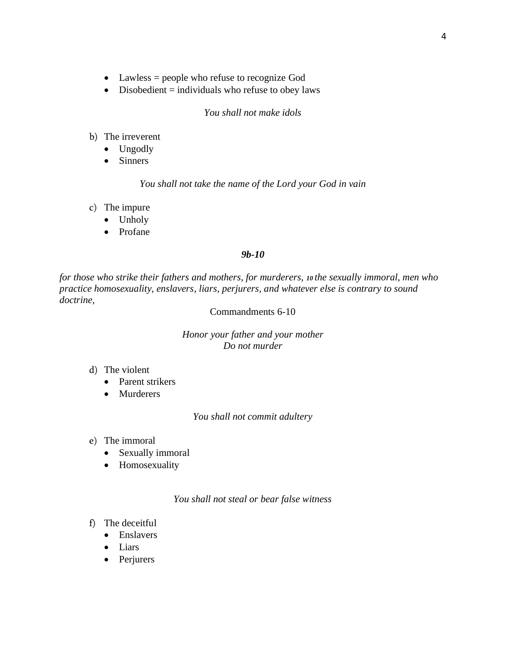- Lawless = people who refuse to recognize God
- Disobedient  $=$  individuals who refuse to obey laws

#### *You shall not make idols*

- b) The irreverent
	- Ungodly
	- Sinners

### *You shall not take the name of the Lord your God in vain*

- c) The impure
	- Unholy
	- Profane

### *9b-10*

*for those who strike their fathers and mothers, for murderers, <sup>10</sup> the sexually immoral, men who practice homosexuality, enslavers, liars, perjurers, and whatever else is contrary to sound doctrine,*

## Commandments 6-10

## *Honor your father and your mother Do not murder*

- d) The violent
	- Parent strikers
	- Murderers

### *You shall not commit adultery*

- e) The immoral
	- Sexually immoral
	- Homosexuality

### *You shall not steal or bear false witness*

- f) The deceitful
	- Enslavers
	- Liars
	- Perjurers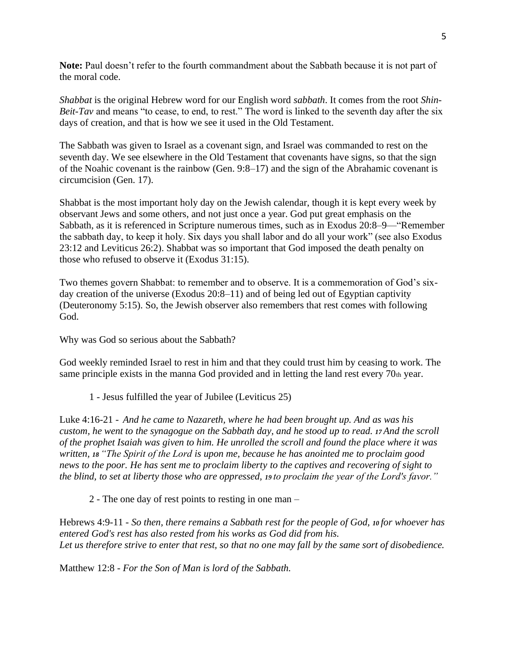**Note:** Paul doesn't refer to the fourth commandment about the Sabbath because it is not part of the moral code.

*Shabbat* is the original Hebrew word for our English word *sabbath*. It comes from the root *Shin-Beit-Tav* and means "to cease, to end, to rest." The word is linked to the seventh day after the six days of creation, and that is how we see it used in the Old Testament.

The Sabbath was given to Israel as a covenant sign, and Israel was commanded to rest on the seventh day. We see elsewhere in the Old Testament that covenants have signs, so that the sign of the Noahic covenant is the rainbow (Gen. 9:8–17) and the sign of the Abrahamic covenant is circumcision (Gen. 17).

Shabbat is the most important holy day on the Jewish calendar, though it is kept every week by observant Jews and some others, and not just once a year. God put great emphasis on the Sabbath, as it is referenced in Scripture numerous times, such as in Exodus 20:8–9—"Remember the sabbath day, to keep it holy. Six days you shall labor and do all your work" (see also Exodus 23:12 and Leviticus 26:2). Shabbat was so important that God imposed the death penalty on those who refused to observe it (Exodus 31:15).

Two themes govern Shabbat: to remember and to observe. It is a commemoration of God's sixday creation of the universe (Exodus 20:8–11) and of being led out of Egyptian captivity (Deuteronomy 5:15). So, the Jewish observer also remembers that rest comes with following God.

Why was God so serious about the Sabbath?

God weekly reminded Israel to rest in him and that they could trust him by ceasing to work. The same principle exists in the manna God provided and in letting the land rest every 70th year.

1 - Jesus fulfilled the year of Jubilee (Leviticus 25)

Luke 4:16-21 - *And he came to Nazareth, where he had been brought up. And as was his custom, he went to the synagogue on the Sabbath day, and he stood up to read. <sup>17</sup> And the scroll of the prophet Isaiah was given to him. He unrolled the scroll and found the place where it was written, <sup>18</sup> "The Spirit of the Lord is upon me, because he has anointed me to proclaim good news to the poor. He has sent me to proclaim liberty to the captives and recovering of sight to the blind, to set at liberty those who are oppressed, <sup>19</sup> to proclaim the year of the Lord's favor."*

2 - The one day of rest points to resting in one man –

Hebrews 4:9-11 - *So then, there remains a Sabbath rest for the people of God, <sup>10</sup> for whoever has entered God's rest has also rested from his works as God did from his. Let us therefore strive to enter that rest, so that no one may fall by the same sort of disobedience.*

Matthew 12:8 - *For the Son of Man is lord of the Sabbath.*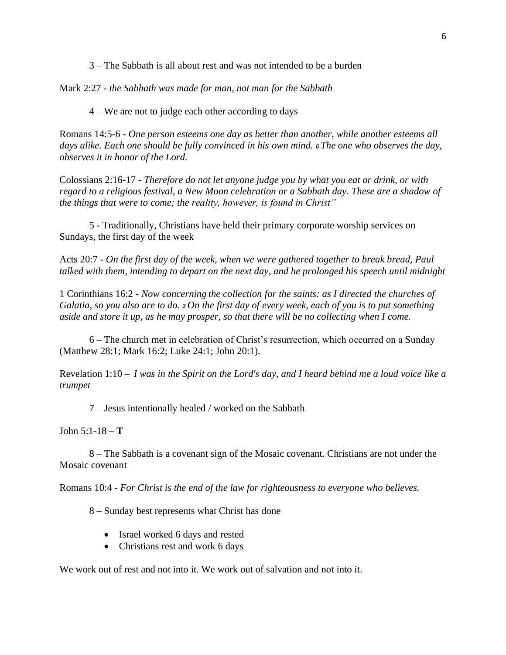3 – The Sabbath is all about rest and was not intended to be a burden

Mark 2:27 - *the Sabbath was made for man, not man for the Sabbath*

4 – We are not to judge each other according to days

Romans 14:5-6 - *One person esteems one day as better than another, while another esteems all days alike. Each one should be fully convinced in his own mind. <sup>6</sup> The one who observes the day, observes it in honor of the Lord.*

Colossians 2:16-17 - *Therefore do not let anyone judge you by what you eat or drink, or with regard to a religious festival, a New Moon celebration or a Sabbath day. These are a shadow of the things that were to come; the reality, however, is found in Christ"*

5 - Traditionally, Christians have held their primary corporate worship services on Sundays, the first day of the week

Acts 20:7 - *On the first day of the week, when we were gathered together to break bread, Paul talked with them, intending to depart on the next day, and he prolonged his speech until midnight*

1 Corinthians 16:2 - *Now concerning the collection for the saints: as I directed the churches of Galatia, so you also are to do. <sup>2</sup> On the first day of every week, each of you is to put something aside and store it up, as he may prosper, so that there will be no collecting when I come.*

6 – The church met in celebration of Christ's resurrection, which occurred on a Sunday (Matthew 28:1; Mark 16:2; Luke 24:1; John 20:1).

Revelation 1:10 *– I was in the Spirit on the Lord's day, and I heard behind me a loud voice like a trumpet*

7 – Jesus intentionally healed / worked on the Sabbath

John 5:1-18 – **T**

8 – The Sabbath is a covenant sign of the Mosaic covenant. Christians are not under the Mosaic covenant

Romans 10:4 - *For Christ is the end of the law for righteousness to everyone who believes.*

8 – Sunday best represents what Christ has done

- Israel worked 6 days and rested
- Christians rest and work 6 days

We work out of rest and not into it. We work out of salvation and not into it.